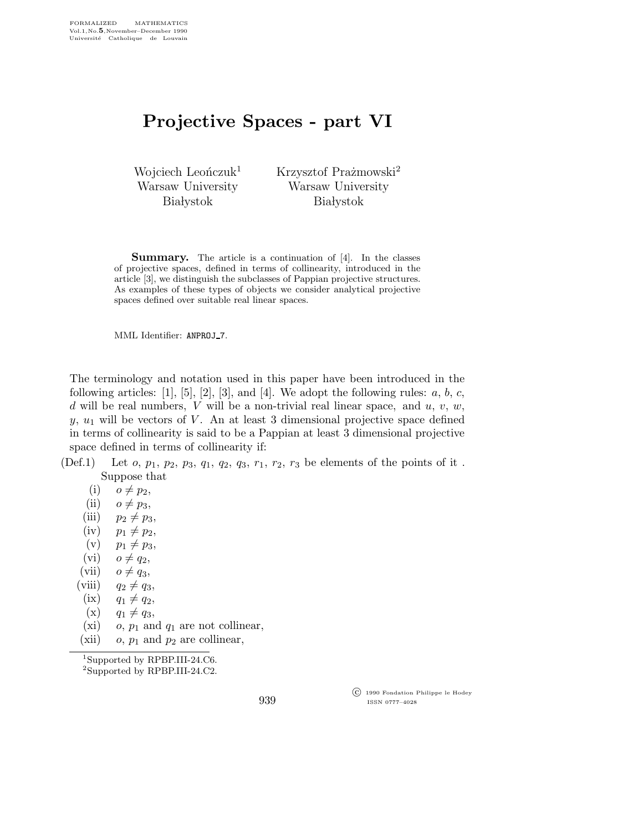## Projective Spaces - part VI

Wojciech Leonczuk<sup>1</sup> Warsaw University **Białystok** 

Krzysztof Prażmowski<sup>2</sup> Warsaw University **Białystok** 

**Summary.** The article is a continuation of [4]. In the classes of projective spaces, defined in terms of collinearity, introduced in the article [3], we distinguish the subclasses of Pappian projective structures. As examples of these types of objects we consider analytical projective spaces defined over suitable real linear spaces.

MML Identifier: ANPROJ 7.

The terminology and notation used in this paper have been introduced in the following articles:  $[1]$ ,  $[5]$ ,  $[2]$ ,  $[3]$ , and  $[4]$ . We adopt the following rules:  $a, b, c$ , d will be real numbers, V will be a non-trivial real linear space, and  $u, v, w$ ,  $y, u_1$  will be vectors of V. An at least 3 dimensional projective space defined in terms of collinearity is said to be a Pappian at least 3 dimensional projective space defined in terms of collinearity if:

(Def.1) Let  $o, p_1, p_2, p_3, q_1, q_2, q_3, r_1, r_2, r_3$  be elements of the points of it. Suppose that

 $(i)$   $o \neq p_2$ ,

- (ii)  $o \neq p_3$ ,
- (iii)  $p_2 \neq p_3$ ,
- $(iv)$   $p_1 \neq p_2$ ,
- (v)  $p_1 \neq p_3$ ,
- (vi)  $o \neq q_2$ ,
- (vii)  $o \neq q_3$ ,
- (viii)  $q_2 \neq q_3$ ,
- $(ix)$   $q_1 \neq q_2,$
- $(x)$   $q_1 \neq q_3$ ,
- (xi) o,  $p_1$  and  $q_1$  are not collinear,
- (xii)  $o, p_1$  and  $p_2$  are collinear,

<sup>1</sup>Supported by RPBP.III-24.C6.

<sup>2</sup>Supported by RPBP.III-24.C2.

 c 1990 Fondation Philippe le Hodey ISSN 0777–4028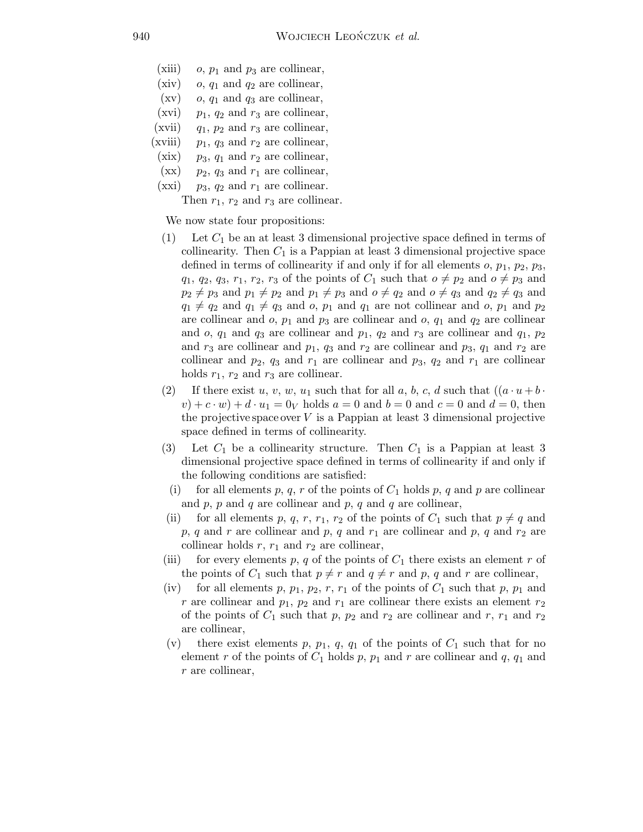- (xiii) o,  $p_1$  and  $p_3$  are collinear,
- (xiv) o,  $q_1$  and  $q_2$  are collinear,
- $(xv)$  *o*,  $q_1$  and  $q_3$  are collinear,
- (xvi)  $p_1$ ,  $q_2$  and  $r_3$  are collinear, (xvii)  $q_1$ ,  $p_2$  and  $r_3$  are collinear,
- (xviii)  $p_1$ ,  $q_3$  and  $r_2$  are collinear,
- $(xix)$  p<sub>3</sub>,  $q_1$  and  $r_2$  are collinear,
- $(xx)$  p<sub>2</sub>, q<sub>3</sub> and  $r_1$  are collinear,
- $(xxi)$   $p_3$ ,  $q_2$  and  $r_1$  are collinear.

Then  $r_1$ ,  $r_2$  and  $r_3$  are collinear.

We now state four propositions:

- (1) Let  $C_1$  be an at least 3 dimensional projective space defined in terms of collinearity. Then  $C_1$  is a Pappian at least 3 dimensional projective space defined in terms of collinearity if and only if for all elements  $o, p_1, p_2, p_3$ ,  $q_1, q_2, q_3, r_1, r_2, r_3$  of the points of  $C_1$  such that  $o \neq p_2$  and  $o \neq p_3$  and  $p_2 \neq p_3$  and  $p_1 \neq p_2$  and  $p_1 \neq p_3$  and  $o \neq q_2$  and  $o \neq q_3$  and  $q_2 \neq q_3$  and  $q_1 \neq q_2$  and  $q_1 \neq q_3$  and  $o, p_1$  and  $q_1$  are not collinear and  $o, p_1$  and  $p_2$ are collinear and  $o$ ,  $p_1$  and  $p_3$  are collinear and  $o$ ,  $q_1$  and  $q_2$  are collinear and o,  $q_1$  and  $q_3$  are collinear and  $p_1$ ,  $q_2$  and  $r_3$  are collinear and  $q_1$ ,  $p_2$ and  $r_3$  are collinear and  $p_1$ ,  $q_3$  and  $r_2$  are collinear and  $p_3$ ,  $q_1$  and  $r_2$  are collinear and  $p_2$ ,  $q_3$  and  $r_1$  are collinear and  $p_3$ ,  $q_2$  and  $r_1$  are collinear holds  $r_1$ ,  $r_2$  and  $r_3$  are collinear.
- (2) If there exist u, v, w, u<sub>1</sub> such that for all a, b, c, d such that  $((a \cdot u + b \cdot u))$  $(v) + c \cdot w + d \cdot u_1 = 0_V$  holds  $a = 0$  and  $b = 0$  and  $c = 0$  and  $d = 0$ , then the projective space over  $V$  is a Pappian at least 3 dimensional projective space defined in terms of collinearity.
- (3) Let  $C_1$  be a collinearity structure. Then  $C_1$  is a Pappian at least 3 dimensional projective space defined in terms of collinearity if and only if the following conditions are satisfied:
	- (i) for all elements p, q, r of the points of  $C_1$  holds p, q and p are collinear and  $p, p$  and  $q$  are collinear and  $p, q$  and  $q$  are collinear,
	- for all elements p, q, r, r<sub>1</sub>, r<sub>2</sub> of the points of  $C_1$  such that  $p \neq q$  and p, q and r are collinear and p, q and  $r_1$  are collinear and p, q and  $r_2$  are collinear holds  $r$ ,  $r_1$  and  $r_2$  are collinear,
- (iii) for every elements p, q of the points of  $C_1$  there exists an element r of the points of  $C_1$  such that  $p \neq r$  and  $q \neq r$  and p, q and r are collinear,
- (iv) for all elements p,  $p_1$ ,  $p_2$ , r,  $r_1$  of the points of  $C_1$  such that p,  $p_1$  and r are collinear and  $p_1$ ,  $p_2$  and  $r_1$  are collinear there exists an element  $r_2$ of the points of  $C_1$  such that p,  $p_2$  and  $r_2$  are collinear and r,  $r_1$  and  $r_2$ are collinear,
- (v) there exist elements p,  $p_1$ , q,  $q_1$  of the points of  $C_1$  such that for no element r of the points of  $C_1$  holds p,  $p_1$  and r are collinear and q,  $q_1$  and r are collinear,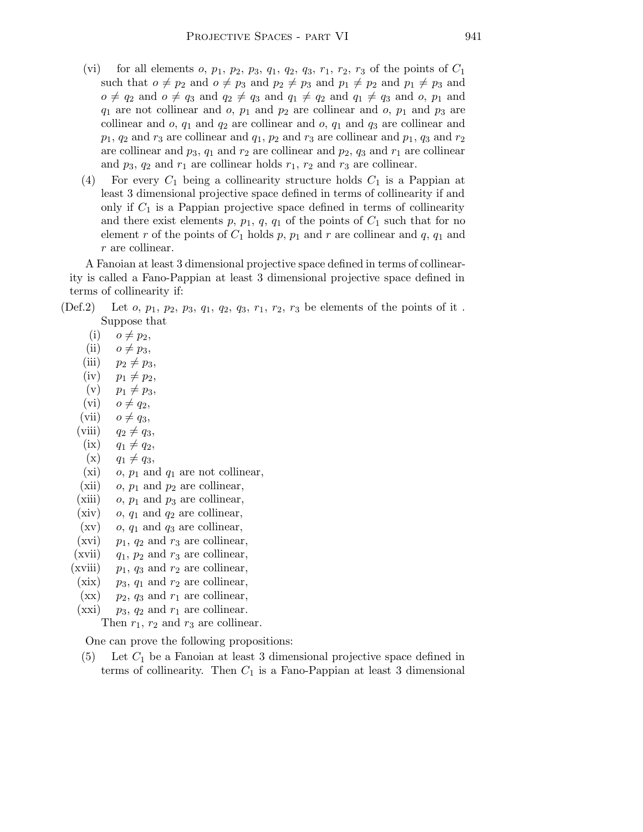- (vi) for all elements  $o, p_1, p_2, p_3, q_1, q_2, q_3, r_1, r_2, r_3$  of the points of  $C_1$ such that  $o \neq p_2$  and  $o \neq p_3$  and  $p_2 \neq p_3$  and  $p_1 \neq p_2$  and  $p_1 \neq p_3$  and  $o \neq q_2$  and  $o \neq q_3$  and  $q_2 \neq q_3$  and  $q_1 \neq q_2$  and  $q_1 \neq q_3$  and  $o, p_1$  and  $q_1$  are not collinear and  $o$ ,  $p_1$  and  $p_2$  are collinear and  $o$ ,  $p_1$  and  $p_3$  are collinear and  $o$ ,  $q_1$  and  $q_2$  are collinear and  $o$ ,  $q_1$  and  $q_3$  are collinear and  $p_1, q_2$  and  $r_3$  are collinear and  $q_1, p_2$  and  $r_3$  are collinear and  $p_1, q_3$  and  $r_2$ are collinear and  $p_3$ ,  $q_1$  and  $r_2$  are collinear and  $p_2$ ,  $q_3$  and  $r_1$  are collinear and  $p_3$ ,  $q_2$  and  $r_1$  are collinear holds  $r_1$ ,  $r_2$  and  $r_3$  are collinear.
- (4) For every  $C_1$  being a collinearity structure holds  $C_1$  is a Pappian at least 3 dimensional projective space defined in terms of collinearity if and only if  $C_1$  is a Pappian projective space defined in terms of collinearity and there exist elements p,  $p_1$ , q,  $q_1$  of the points of  $C_1$  such that for no element r of the points of  $C_1$  holds p,  $p_1$  and r are collinear and q,  $q_1$  and r are collinear.

A Fanoian at least 3 dimensional projective space defined in terms of collinearity is called a Fano-Pappian at least 3 dimensional projective space defined in terms of collinearity if:

- (Def.2) Let  $o, p_1, p_2, p_3, q_1, q_2, q_3, r_1, r_2, r_3$  be elements of the points of it. Suppose that
	- $(i)$   $o \neq p_2$ ,
	- (ii)  $o \neq p_3$ ,
	- (iii)  $p_2 \neq p_3$ ,
	- $(iv)$   $p_1 \neq p_2$ ,
	- $(v)$   $p_1 \neq p_3$ ,
	- (vi)  $o \neq q_2$ ,
	- (vii)  $o \neq q_3$ ,
	- (viii)  $q_2 \neq q_3$ ,
	- $(ix)$   $q_1 \neq q_2,$
	- $(x)$   $q_1 \neq q_3$ ,
	- (xi) o,  $p_1$  and  $q_1$  are not collinear,
	- (xii) o,  $p_1$  and  $p_2$  are collinear,
	- (xiii) o,  $p_1$  and  $p_3$  are collinear,
	- (xiv)  $o, q_1$  and  $q_2$  are collinear,
	- $(xv)$  o,  $q_1$  and  $q_3$  are collinear,
	- (xvi)  $p_1$ ,  $q_2$  and  $r_3$  are collinear,
	- (xvii)  $q_1$ ,  $p_2$  and  $r_3$  are collinear,
	- (xviii)  $p_1$ ,  $q_3$  and  $r_2$  are collinear,
	- (xix)  $p_3$ ,  $q_1$  and  $r_2$  are collinear,
	- $(xx)$  p<sub>2</sub>, q<sub>3</sub> and  $r_1$  are collinear,
	- (xxi)  $p_3$ ,  $q_2$  and  $r_1$  are collinear.

Then  $r_1$ ,  $r_2$  and  $r_3$  are collinear.

One can prove the following propositions:

(5) Let  $C_1$  be a Fanoian at least 3 dimensional projective space defined in terms of collinearity. Then  $C_1$  is a Fano-Pappian at least 3 dimensional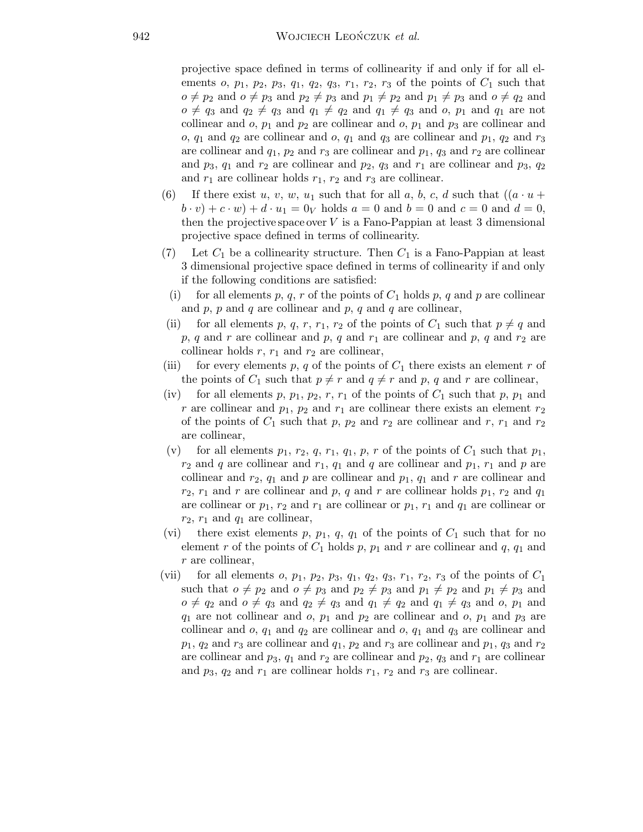projective space defined in terms of collinearity if and only if for all elements o,  $p_1$ ,  $p_2$ ,  $p_3$ ,  $q_1$ ,  $q_2$ ,  $q_3$ ,  $r_1$ ,  $r_2$ ,  $r_3$  of the points of  $C_1$  such that  $o \neq p_2$  and  $o \neq p_3$  and  $p_2 \neq p_3$  and  $p_1 \neq p_2$  and  $p_1 \neq p_3$  and  $o \neq q_2$  and  $o \neq q_3$  and  $q_2 \neq q_3$  and  $q_1 \neq q_2$  and  $q_1 \neq q_3$  and  $o, p_1$  and  $q_1$  are not collinear and  $o$ ,  $p_1$  and  $p_2$  are collinear and  $o$ ,  $p_1$  and  $p_3$  are collinear and o,  $q_1$  and  $q_2$  are collinear and o,  $q_1$  and  $q_3$  are collinear and  $p_1$ ,  $q_2$  and  $r_3$ are collinear and  $q_1$ ,  $p_2$  and  $r_3$  are collinear and  $p_1$ ,  $q_3$  and  $r_2$  are collinear and  $p_3$ ,  $q_1$  and  $r_2$  are collinear and  $p_2$ ,  $q_3$  and  $r_1$  are collinear and  $p_3$ ,  $q_2$ and  $r_1$  are collinear holds  $r_1$ ,  $r_2$  and  $r_3$  are collinear.

- (6) If there exist u, v, w, u<sub>1</sub> such that for all a, b, c, d such that  $((a \cdot u +$  $(b \cdot v) + c \cdot w + d \cdot u_1 = 0_V$  holds  $a = 0$  and  $b = 0$  and  $c = 0$  and  $d = 0$ , then the projective space over  $V$  is a Fano-Pappian at least 3 dimensional projective space defined in terms of collinearity.
- (7) Let  $C_1$  be a collinearity structure. Then  $C_1$  is a Fano-Pappian at least 3 dimensional projective space defined in terms of collinearity if and only if the following conditions are satisfied:
	- (i) for all elements p, q, r of the points of  $C_1$  holds p, q and p are collinear and  $p$ ,  $p$  and  $q$  are collinear and  $p$ ,  $q$  and  $q$  are collinear,
- (ii) for all elements p, q, r, r<sub>1</sub>, r<sub>2</sub> of the points of  $C_1$  such that  $p \neq q$  and  $p, q$  and r are collinear and  $p, q$  and  $r_1$  are collinear and  $p, q$  and  $r_2$  are collinear holds  $r, r_1$  and  $r_2$  are collinear,
- (iii) for every elements p, q of the points of  $C_1$  there exists an element r of the points of  $C_1$  such that  $p \neq r$  and  $q \neq r$  and p, q and r are collinear,
- (iv) for all elements p,  $p_1$ ,  $p_2$ , r,  $r_1$  of the points of  $C_1$  such that p,  $p_1$  and r are collinear and  $p_1$ ,  $p_2$  and  $r_1$  are collinear there exists an element  $r_2$ of the points of  $C_1$  such that p,  $p_2$  and  $r_2$  are collinear and r,  $r_1$  and  $r_2$ are collinear,
- (v) for all elements  $p_1$ ,  $r_2$ ,  $q$ ,  $r_1$ ,  $q_1$ ,  $p$ ,  $r$  of the points of  $C_1$  such that  $p_1$ ,  $r_2$  and q are collinear and  $r_1$ ,  $q_1$  and q are collinear and  $p_1$ ,  $r_1$  and p are collinear and  $r_2$ ,  $q_1$  and p are collinear and  $p_1$ ,  $q_1$  and r are collinear and  $r_2$ ,  $r_1$  and r are collinear and p, q and r are collinear holds  $p_1$ ,  $r_2$  and  $q_1$ are collinear or  $p_1, r_2$  and  $r_1$  are collinear or  $p_1, r_1$  and  $q_1$  are collinear or  $r_2$ ,  $r_1$  and  $q_1$  are collinear,
- (vi) there exist elements p,  $p_1$ ,  $q$ ,  $q_1$  of the points of  $C_1$  such that for no element r of the points of  $C_1$  holds p,  $p_1$  and r are collinear and q,  $q_1$  and r are collinear,
- (vii) for all elements  $o$ ,  $p_1$ ,  $p_2$ ,  $p_3$ ,  $q_1$ ,  $q_2$ ,  $q_3$ ,  $r_1$ ,  $r_2$ ,  $r_3$  of the points of  $C_1$ such that  $o \neq p_2$  and  $o \neq p_3$  and  $p_2 \neq p_3$  and  $p_1 \neq p_2$  and  $p_1 \neq p_3$  and  $o \neq q_2$  and  $o \neq q_3$  and  $q_2 \neq q_3$  and  $q_1 \neq q_2$  and  $q_1 \neq q_3$  and  $o, p_1$  and  $q_1$  are not collinear and o,  $p_1$  and  $p_2$  are collinear and o,  $p_1$  and  $p_3$  are collinear and  $o, q_1$  and  $q_2$  are collinear and  $o, q_1$  and  $q_3$  are collinear and  $p_1, q_2$  and  $r_3$  are collinear and  $q_1, p_2$  and  $r_3$  are collinear and  $p_1, q_3$  and  $r_2$ are collinear and  $p_3$ ,  $q_1$  and  $r_2$  are collinear and  $p_2$ ,  $q_3$  and  $r_1$  are collinear and  $p_3$ ,  $q_2$  and  $r_1$  are collinear holds  $r_1$ ,  $r_2$  and  $r_3$  are collinear.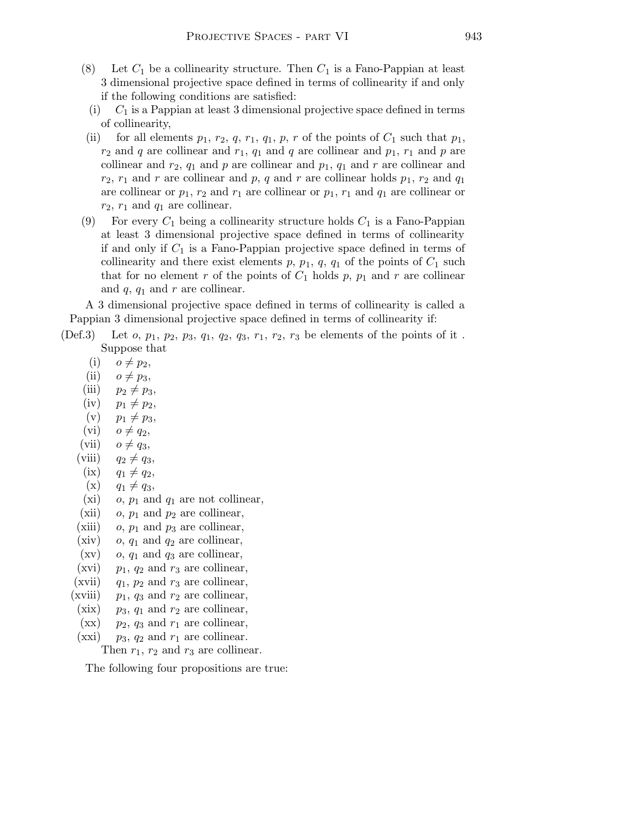- (8) Let  $C_1$  be a collinearity structure. Then  $C_1$  is a Fano-Pappian at least 3 dimensional projective space defined in terms of collinearity if and only if the following conditions are satisfied:
- (i)  $C_1$  is a Pappian at least 3 dimensional projective space defined in terms of collinearity,
- (ii) for all elements  $p_1, r_2, q, r_1, q_1, p, r$  of the points of  $C_1$  such that  $p_1$ ,  $r_2$  and q are collinear and  $r_1$ ,  $q_1$  and q are collinear and  $p_1$ ,  $r_1$  and p are collinear and  $r_2$ ,  $q_1$  and p are collinear and  $p_1$ ,  $q_1$  and r are collinear and  $r_2$ ,  $r_1$  and r are collinear and p, q and r are collinear holds  $p_1$ ,  $r_2$  and  $q_1$ are collinear or  $p_1$ ,  $r_2$  and  $r_1$  are collinear or  $p_1$ ,  $r_1$  and  $q_1$  are collinear or  $r_2$ ,  $r_1$  and  $q_1$  are collinear.
- (9) For every  $C_1$  being a collinearity structure holds  $C_1$  is a Fano-Pappian at least 3 dimensional projective space defined in terms of collinearity if and only if  $C_1$  is a Fano-Pappian projective space defined in terms of collinearity and there exist elements p,  $p_1$ ,  $q$ ,  $q_1$  of the points of  $C_1$  such that for no element r of the points of  $C_1$  holds p,  $p_1$  and r are collinear and  $q$ ,  $q_1$  and  $r$  are collinear.

A 3 dimensional projective space defined in terms of collinearity is called a Pappian 3 dimensional projective space defined in terms of collinearity if:

- (Def.3) Let  $o, p_1, p_2, p_3, q_1, q_2, q_3, r_1, r_2, r_3$  be elements of the points of it. Suppose that
	- $(i)$   $o \neq p_2$ ,
	- (ii)  $o \neq p_3$ ,
	- (iii)  $p_2 \neq p_3$ ,
	- $(iv)$   $p_1 \neq p_2$ ,
	- $(v)$   $p_1 \neq p_3$ ,
	- $(vi)$   $o \neq q_2$ ,
	- (vii)  $o \neq q_3$ ,
	- (viii)  $q_2 \neq q_3$ ,
	- $(ix)$   $q_1 \neq q_2,$
	- $(x)$   $q_1 \neq q_3$ ,
	- (xi)  $o, p_1$  and  $q_1$  are not collinear,
	- (xii)  $o, p_1$  and  $p_2$  are collinear,
	- (xiii) o,  $p_1$  and  $p_3$  are collinear,
	- (xiv) o,  $q_1$  and  $q_2$  are collinear,
	- $(xv)$  o,  $q_1$  and  $q_3$  are collinear,
	- (xvi)  $p_1$ ,  $q_2$  and  $r_3$  are collinear,
	- (xvii)  $q_1$ ,  $p_2$  and  $r_3$  are collinear,
	- (xviii)  $p_1$ ,  $q_3$  and  $r_2$  are collinear,
	- (xix)  $p_3$ ,  $q_1$  and  $r_2$  are collinear,
	- $(xx)$  p<sub>2</sub>, q<sub>3</sub> and  $r_1$  are collinear,
	- (xxi)  $p_3$ ,  $q_2$  and  $r_1$  are collinear.

Then  $r_1$ ,  $r_2$  and  $r_3$  are collinear.

The following four propositions are true: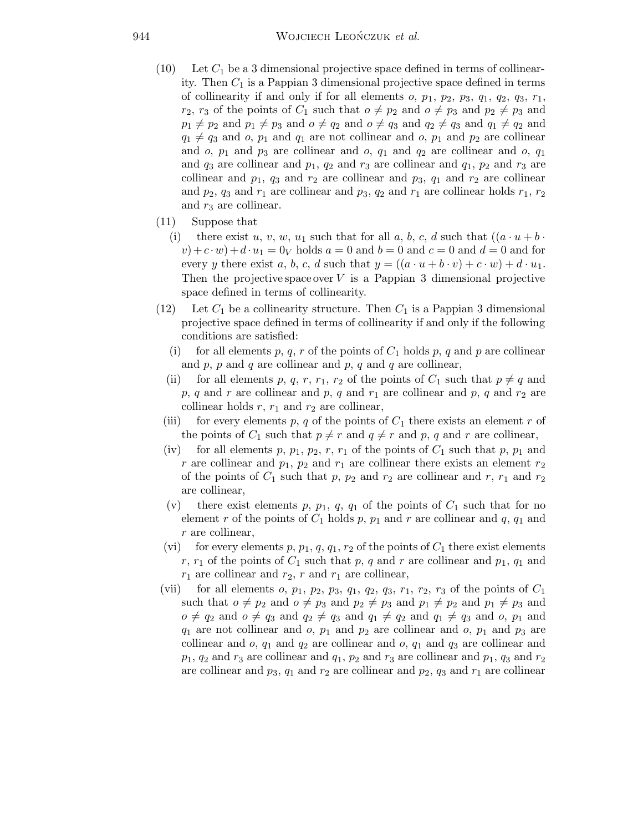- $(10)$  Let  $C_1$  be a 3 dimensional projective space defined in terms of collinearity. Then  $C_1$  is a Pappian 3 dimensional projective space defined in terms of collinearity if and only if for all elements  $o, p_1, p_2, p_3, q_1, q_2, q_3, r_1$ ,  $r_2$ ,  $r_3$  of the points of  $C_1$  such that  $o \neq p_2$  and  $o \neq p_3$  and  $p_2 \neq p_3$  and  $p_1 \neq p_2$  and  $p_1 \neq p_3$  and  $o \neq q_2$  and  $o \neq q_3$  and  $q_2 \neq q_3$  and  $q_1 \neq q_2$  and  $q_1 \neq q_3$  and  $o, p_1$  and  $q_1$  are not collinear and  $o, p_1$  and  $p_2$  are collinear and o,  $p_1$  and  $p_3$  are collinear and o,  $q_1$  and  $q_2$  are collinear and o,  $q_1$ and  $q_3$  are collinear and  $p_1$ ,  $q_2$  and  $r_3$  are collinear and  $q_1$ ,  $p_2$  and  $r_3$  are collinear and  $p_1$ ,  $q_3$  and  $r_2$  are collinear and  $p_3$ ,  $q_1$  and  $r_2$  are collinear and  $p_2$ ,  $q_3$  and  $r_1$  are collinear and  $p_3$ ,  $q_2$  and  $r_1$  are collinear holds  $r_1$ ,  $r_2$ and  $r_3$  are collinear.
- (11) Suppose that
	- (i) there exist u, v, w, u<sub>1</sub> such that for all a, b, c, d such that  $((a \cdot u + b \cdot$  $(v)+c \cdot w$  +  $d \cdot u_1 = 0_V$  holds  $a = 0$  and  $b = 0$  and  $c = 0$  and  $d = 0$  and for every y there exist a, b, c, d such that  $y = ((a \cdot u + b \cdot v) + c \cdot w) + d \cdot u_1$ . Then the projective space over  $V$  is a Pappian 3 dimensional projective space defined in terms of collinearity.
- (12) Let  $C_1$  be a collinearity structure. Then  $C_1$  is a Pappian 3 dimensional projective space defined in terms of collinearity if and only if the following conditions are satisfied:
	- (i) for all elements p, q, r of the points of  $C_1$  holds p, q and p are collinear and  $p$ ,  $p$  and  $q$  are collinear and  $p$ ,  $q$  and  $q$  are collinear,
	- (ii) for all elements p, q, r, r<sub>1</sub>, r<sub>2</sub> of the points of  $C_1$  such that  $p \neq q$  and p, q and r are collinear and p, q and  $r_1$  are collinear and p, q and  $r_2$  are collinear holds  $r$ ,  $r_1$  and  $r_2$  are collinear,
	- (iii) for every elements p, q of the points of  $C_1$  there exists an element r of the points of  $C_1$  such that  $p \neq r$  and  $q \neq r$  and p, q and r are collinear,
	- (iv) for all elements p,  $p_1$ ,  $p_2$ , r,  $r_1$  of the points of  $C_1$  such that p,  $p_1$  and r are collinear and  $p_1$ ,  $p_2$  and  $r_1$  are collinear there exists an element  $r_2$ of the points of  $C_1$  such that p,  $p_2$  and  $r_2$  are collinear and r,  $r_1$  and  $r_2$ are collinear,
	- (v) there exist elements p,  $p_1$ , q,  $q_1$  of the points of  $C_1$  such that for no element r of the points of  $C_1$  holds p,  $p_1$  and r are collinear and q,  $q_1$  and r are collinear,
	- (vi) for every elements p,  $p_1$ ,  $q$ ,  $q_1$ ,  $r_2$  of the points of  $C_1$  there exist elements r,  $r_1$  of the points of  $C_1$  such that p, q and r are collinear and  $p_1$ ,  $q_1$  and  $r_1$  are collinear and  $r_2$ , r and  $r_1$  are collinear,
- (vii) for all elements  $o$ ,  $p_1$ ,  $p_2$ ,  $p_3$ ,  $q_1$ ,  $q_2$ ,  $q_3$ ,  $r_1$ ,  $r_2$ ,  $r_3$  of the points of  $C_1$ such that  $o \neq p_2$  and  $o \neq p_3$  and  $p_2 \neq p_3$  and  $p_1 \neq p_2$  and  $p_1 \neq p_3$  and  $o \neq q_2$  and  $o \neq q_3$  and  $q_2 \neq q_3$  and  $q_1 \neq q_2$  and  $q_1 \neq q_3$  and  $o, p_1$  and  $q_1$  are not collinear and o,  $p_1$  and  $p_2$  are collinear and o,  $p_1$  and  $p_3$  are collinear and  $o, q_1$  and  $q_2$  are collinear and  $o, q_1$  and  $q_3$  are collinear and  $p_1$ ,  $q_2$  and  $r_3$  are collinear and  $q_1$ ,  $p_2$  and  $r_3$  are collinear and  $p_1$ ,  $q_3$  and  $r_2$ are collinear and  $p_3$ ,  $q_1$  and  $r_2$  are collinear and  $p_2$ ,  $q_3$  and  $r_1$  are collinear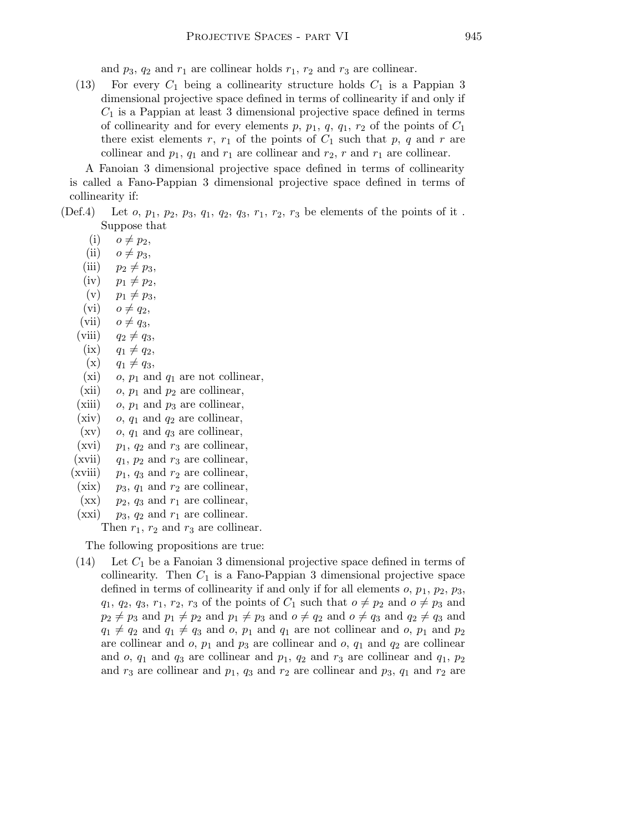and  $p_3$ ,  $q_2$  and  $r_1$  are collinear holds  $r_1$ ,  $r_2$  and  $r_3$  are collinear.

(13) For every  $C_1$  being a collinearity structure holds  $C_1$  is a Pappian 3 dimensional projective space defined in terms of collinearity if and only if  $C_1$  is a Pappian at least 3 dimensional projective space defined in terms of collinearity and for every elements p,  $p_1$ ,  $q$ ,  $q_1$ ,  $r_2$  of the points of  $C_1$ there exist elements r,  $r_1$  of the points of  $C_1$  such that p, q and r are collinear and  $p_1$ ,  $q_1$  and  $r_1$  are collinear and  $r_2$ , r and  $r_1$  are collinear.

A Fanoian 3 dimensional projective space defined in terms of collinearity is called a Fano-Pappian 3 dimensional projective space defined in terms of collinearity if:

(Def.4) Let *o*,  $p_1$ ,  $p_2$ ,  $p_3$ ,  $q_1$ ,  $q_2$ ,  $q_3$ ,  $r_1$ ,  $r_2$ ,  $r_3$  be elements of the points of it. Suppose that

 $(i)$   $o \neq p_2$ ,

- (ii)  $o \neq p_3$ ,
- (iii)  $p_2 \neq p_3$ ,
- (iv)  $p_1 \neq p_2$ ,
- (v)  $p_1 \neq p_3$ ,
- (vi)  $o \neq q_2$ ,
- (vii)  $o \neq q_3$ ,
- (viii)  $q_2 \neq q_3$ ,
- $(ix)$   $q_1 \neq q_2,$
- $(x)$   $q_1 \neq q_3$ ,
- (xi) o,  $p_1$  and  $q_1$  are not collinear,
- (xii)  $o, p_1$  and  $p_2$  are collinear,
- (xiii) o,  $p_1$  and  $p_3$  are collinear,
- (xiv) o,  $q_1$  and  $q_2$  are collinear,
- $(xv)$  o,  $q_1$  and  $q_3$  are collinear,
- (xvi)  $p_1$ ,  $q_2$  and  $r_3$  are collinear,
- (xvii)  $q_1$ ,  $p_2$  and  $r_3$  are collinear,
- (xviii)  $p_1$ ,  $q_3$  and  $r_2$  are collinear,
- (xix)  $p_3$ ,  $q_1$  and  $r_2$  are collinear,
- $(xx)$  p<sub>2</sub>, q<sub>3</sub> and  $r_1$  are collinear,
- (xxi)  $p_3$ ,  $q_2$  and  $r_1$  are collinear.

Then  $r_1$ ,  $r_2$  and  $r_3$  are collinear.

The following propositions are true:

(14) Let  $C_1$  be a Fanoian 3 dimensional projective space defined in terms of collinearity. Then  $C_1$  is a Fano-Pappian 3 dimensional projective space defined in terms of collinearity if and only if for all elements  $o, p_1, p_2, p_3$ ,  $q_1, q_2, q_3, r_1, r_2, r_3$  of the points of  $C_1$  such that  $o \neq p_2$  and  $o \neq p_3$  and  $p_2 \neq p_3$  and  $p_1 \neq p_2$  and  $p_1 \neq p_3$  and  $o \neq q_2$  and  $o \neq q_3$  and  $q_2 \neq q_3$  and  $q_1 \neq q_2$  and  $q_1 \neq q_3$  and o,  $p_1$  and  $q_1$  are not collinear and o,  $p_1$  and  $p_2$ are collinear and  $o, p_1$  and  $p_3$  are collinear and  $o, q_1$  and  $q_2$  are collinear and  $o$ ,  $q_1$  and  $q_3$  are collinear and  $p_1$ ,  $q_2$  and  $r_3$  are collinear and  $q_1$ ,  $p_2$ and  $r_3$  are collinear and  $p_1$ ,  $q_3$  and  $r_2$  are collinear and  $p_3$ ,  $q_1$  and  $r_2$  are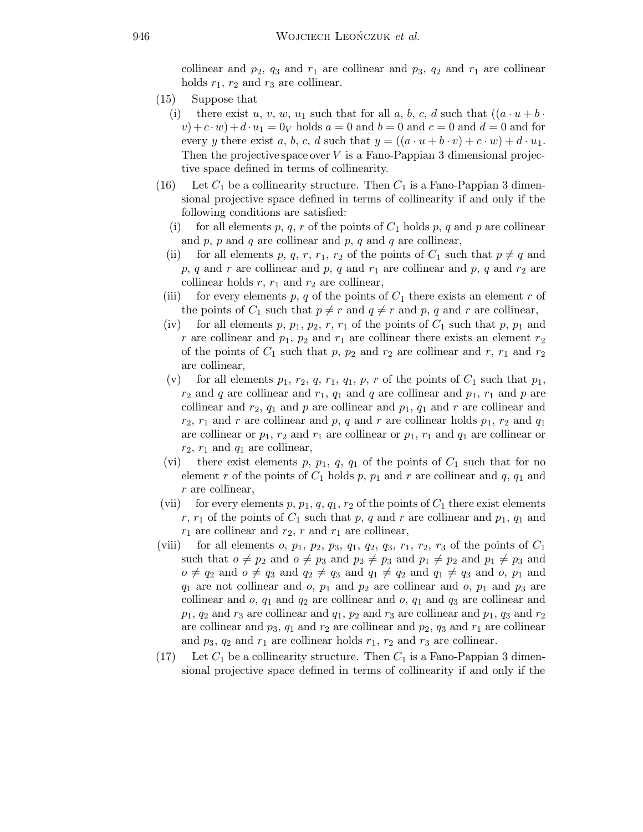collinear and  $p_2$ ,  $q_3$  and  $r_1$  are collinear and  $p_3$ ,  $q_2$  and  $r_1$  are collinear holds  $r_1$ ,  $r_2$  and  $r_3$  are collinear.

- (15) Suppose that
	- (i) there exist u, v, w, u<sub>1</sub> such that for all a, b, c, d such that  $((a \cdot u + b \cdot u))$  $(v)+c \cdot w$  +  $d \cdot u_1 = 0_V$  holds  $a = 0$  and  $b = 0$  and  $c = 0$  and  $d = 0$  and for every y there exist a, b, c, d such that  $y = ((a \cdot u + b \cdot v) + c \cdot w) + d \cdot u_1$ . Then the projective space over  $V$  is a Fano-Pappian 3 dimensional projective space defined in terms of collinearity.
- (16) Let  $C_1$  be a collinearity structure. Then  $C_1$  is a Fano-Pappian 3 dimensional projective space defined in terms of collinearity if and only if the following conditions are satisfied:
	- (i) for all elements p, q, r of the points of  $C_1$  holds p, q and p are collinear and  $p$ ,  $p$  and  $q$  are collinear and  $p$ ,  $q$  and  $q$  are collinear,
	- (ii) for all elements p, q, r, r<sub>1</sub>, r<sub>2</sub> of the points of  $C_1$  such that  $p \neq q$  and p, q and r are collinear and p, q and  $r_1$  are collinear and p, q and  $r_2$  are collinear holds  $r, r_1$  and  $r_2$  are collinear,
	- (iii) for every elements p, q of the points of  $C_1$  there exists an element r of the points of  $C_1$  such that  $p \neq r$  and  $q \neq r$  and p, q and r are collinear,
	- (iv) for all elements p,  $p_1$ ,  $p_2$ , r,  $r_1$  of the points of  $C_1$  such that p,  $p_1$  and r are collinear and  $p_1$ ,  $p_2$  and  $r_1$  are collinear there exists an element  $r_2$ of the points of  $C_1$  such that p,  $p_2$  and  $r_2$  are collinear and r,  $r_1$  and  $r_2$ are collinear,
	- (v) for all elements  $p_1$ ,  $r_2$ ,  $q$ ,  $r_1$ ,  $q_1$ ,  $p$ ,  $r$  of the points of  $C_1$  such that  $p_1$ ,  $r_2$  and q are collinear and  $r_1$ ,  $q_1$  and q are collinear and  $p_1$ ,  $r_1$  and p are collinear and  $r_2$ ,  $q_1$  and p are collinear and  $p_1$ ,  $q_1$  and r are collinear and  $r_2$ ,  $r_1$  and r are collinear and p, q and r are collinear holds  $p_1$ ,  $r_2$  and  $q_1$ are collinear or  $p_1, r_2$  and  $r_1$  are collinear or  $p_1, r_1$  and  $q_1$  are collinear or  $r_2$ ,  $r_1$  and  $q_1$  are collinear,
	- (vi) there exist elements p,  $p_1$ ,  $q$ ,  $q_1$  of the points of  $C_1$  such that for no element r of the points of  $C_1$  holds p,  $p_1$  and r are collinear and q,  $q_1$  and r are collinear,
- (vii) for every elements p,  $p_1$ ,  $q$ ,  $q_1$ ,  $r_2$  of the points of  $C_1$  there exist elements r,  $r_1$  of the points of  $C_1$  such that p, q and r are collinear and  $p_1$ ,  $q_1$  and  $r_1$  are collinear and  $r_2$ , r and  $r_1$  are collinear,
- (viii) for all elements  $o, p_1, p_2, p_3, q_1, q_2, q_3, r_1, r_2, r_3$  of the points of  $C_1$ such that  $o \neq p_2$  and  $o \neq p_3$  and  $p_2 \neq p_3$  and  $p_1 \neq p_2$  and  $p_1 \neq p_3$  and  $o \neq q_2$  and  $o \neq q_3$  and  $q_2 \neq q_3$  and  $q_1 \neq q_2$  and  $q_1 \neq q_3$  and  $o, p_1$  and  $q_1$  are not collinear and o,  $p_1$  and  $p_2$  are collinear and o,  $p_1$  and  $p_3$  are collinear and  $o, q_1$  and  $q_2$  are collinear and  $o, q_1$  and  $q_3$  are collinear and  $p_1$ ,  $q_2$  and  $r_3$  are collinear and  $q_1$ ,  $p_2$  and  $r_3$  are collinear and  $p_1$ ,  $q_3$  and  $r_2$ are collinear and  $p_3$ ,  $q_1$  and  $r_2$  are collinear and  $p_2$ ,  $q_3$  and  $r_1$  are collinear and  $p_3$ ,  $q_2$  and  $r_1$  are collinear holds  $r_1$ ,  $r_2$  and  $r_3$  are collinear.
- (17) Let  $C_1$  be a collinearity structure. Then  $C_1$  is a Fano-Pappian 3 dimensional projective space defined in terms of collinearity if and only if the